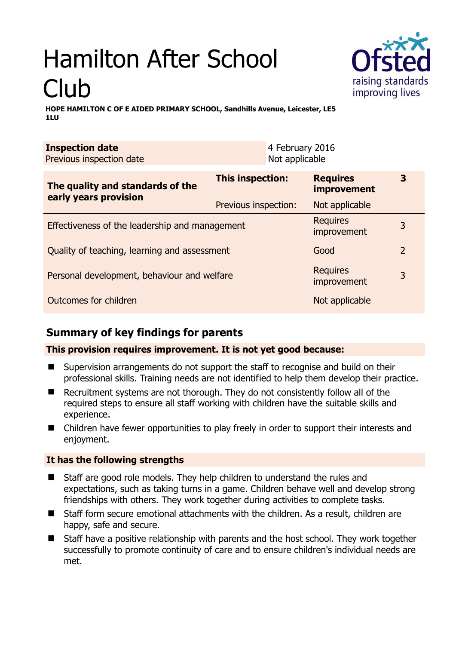# Hamilton After School Club

raising standards improving lives

**HOPE HAMILTON C OF E AIDED PRIMARY SCHOOL, Sandhills Avenue, Leicester, LE5 1LU** 

| <b>Inspection date</b>   | 4 February 2016 |
|--------------------------|-----------------|
| Previous inspection date | Not applicable  |
|                          |                 |

| The quality and standards of the<br>early years provision | This inspection:     | <b>Requires</b><br>improvement | 3              |
|-----------------------------------------------------------|----------------------|--------------------------------|----------------|
|                                                           | Previous inspection: | Not applicable                 |                |
| Effectiveness of the leadership and management            |                      | <b>Requires</b><br>improvement | 3              |
| Quality of teaching, learning and assessment              |                      | Good                           | $\overline{2}$ |
| Personal development, behaviour and welfare               |                      | <b>Requires</b><br>improvement | 3              |
| Outcomes for children                                     |                      | Not applicable                 |                |

# **Summary of key findings for parents**

## **This provision requires improvement. It is not yet good because:**

- Supervision arrangements do not support the staff to recognise and build on their professional skills. Training needs are not identified to help them develop their practice.
- Recruitment systems are not thorough. They do not consistently follow all of the required steps to ensure all staff working with children have the suitable skills and experience.
- Children have fewer opportunities to play freely in order to support their interests and enjoyment.

### **It has the following strengths**

- Staff are good role models. They help children to understand the rules and expectations, such as taking turns in a game. Children behave well and develop strong friendships with others. They work together during activities to complete tasks.
- Staff form secure emotional attachments with the children. As a result, children are happy, safe and secure.
- Staff have a positive relationship with parents and the host school. They work together successfully to promote continuity of care and to ensure children's individual needs are met.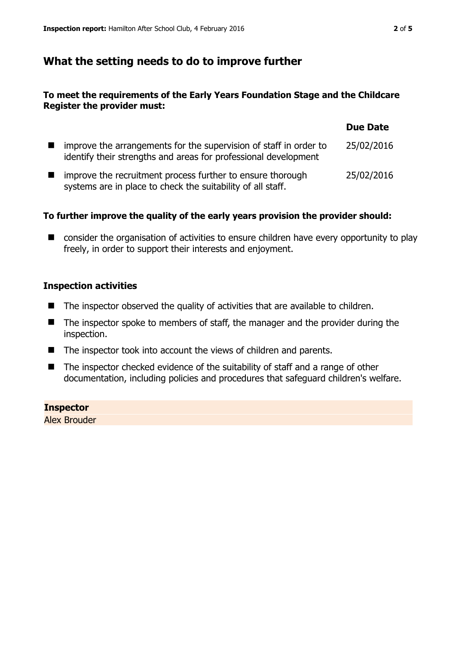## **What the setting needs to do to improve further**

#### **To meet the requirements of the Early Years Foundation Stage and the Childcare Register the provider must:**

|                                                                                                                                      | <b>Due Date</b> |
|--------------------------------------------------------------------------------------------------------------------------------------|-----------------|
| improve the arrangements for the supervision of staff in order to<br>identify their strengths and areas for professional development | 25/02/2016      |
| improve the recruitment process further to ensure thorough<br>systems are in place to check the suitability of all staff.            | 25/02/2016      |

#### **To further improve the quality of the early years provision the provider should:**

■ consider the organisation of activities to ensure children have every opportunity to play freely, in order to support their interests and enjoyment.

#### **Inspection activities**

- $\blacksquare$  The inspector observed the quality of activities that are available to children.
- The inspector spoke to members of staff, the manager and the provider during the inspection.
- The inspector took into account the views of children and parents.
- The inspector checked evidence of the suitability of staff and a range of other documentation, including policies and procedures that safeguard children's welfare.

#### **Inspector**

Alex Brouder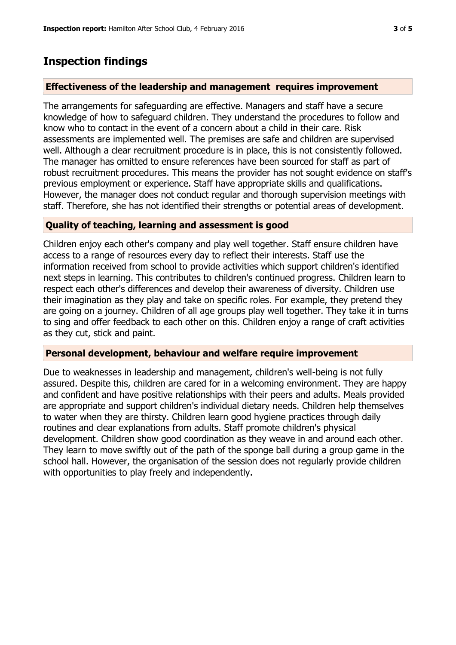# **Inspection findings**

#### **Effectiveness of the leadership and management requires improvement**

The arrangements for safeguarding are effective. Managers and staff have a secure knowledge of how to safeguard children. They understand the procedures to follow and know who to contact in the event of a concern about a child in their care. Risk assessments are implemented well. The premises are safe and children are supervised well. Although a clear recruitment procedure is in place, this is not consistently followed. The manager has omitted to ensure references have been sourced for staff as part of robust recruitment procedures. This means the provider has not sought evidence on staff's previous employment or experience. Staff have appropriate skills and qualifications. However, the manager does not conduct regular and thorough supervision meetings with staff. Therefore, she has not identified their strengths or potential areas of development.

#### **Quality of teaching, learning and assessment is good**

Children enjoy each other's company and play well together. Staff ensure children have access to a range of resources every day to reflect their interests. Staff use the information received from school to provide activities which support children's identified next steps in learning. This contributes to children's continued progress. Children learn to respect each other's differences and develop their awareness of diversity. Children use their imagination as they play and take on specific roles. For example, they pretend they are going on a journey. Children of all age groups play well together. They take it in turns to sing and offer feedback to each other on this. Children enjoy a range of craft activities as they cut, stick and paint.

#### **Personal development, behaviour and welfare require improvement**

Due to weaknesses in leadership and management, children's well-being is not fully assured. Despite this, children are cared for in a welcoming environment. They are happy and confident and have positive relationships with their peers and adults. Meals provided are appropriate and support children's individual dietary needs. Children help themselves to water when they are thirsty. Children learn good hygiene practices through daily routines and clear explanations from adults. Staff promote children's physical development. Children show good coordination as they weave in and around each other. They learn to move swiftly out of the path of the sponge ball during a group game in the school hall. However, the organisation of the session does not regularly provide children with opportunities to play freely and independently.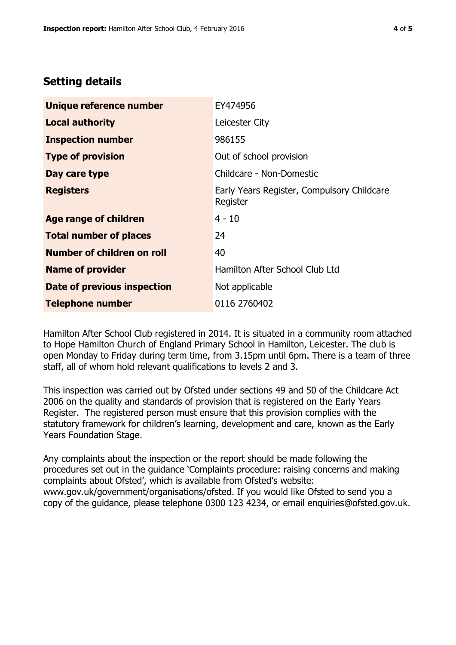## **Setting details**

| Unique reference number       | EY474956                                               |
|-------------------------------|--------------------------------------------------------|
| <b>Local authority</b>        | Leicester City                                         |
| <b>Inspection number</b>      | 986155                                                 |
| <b>Type of provision</b>      | Out of school provision                                |
| Day care type                 | Childcare - Non-Domestic                               |
| <b>Registers</b>              | Early Years Register, Compulsory Childcare<br>Register |
| <b>Age range of children</b>  | $4 - 10$                                               |
| <b>Total number of places</b> | 24                                                     |
| Number of children on roll    | 40                                                     |
| <b>Name of provider</b>       | Hamilton After School Club Ltd                         |
| Date of previous inspection   | Not applicable                                         |
| <b>Telephone number</b>       | 0116 2760402                                           |

Hamilton After School Club registered in 2014. It is situated in a community room attached to Hope Hamilton Church of England Primary School in Hamilton, Leicester. The club is open Monday to Friday during term time, from 3.15pm until 6pm. There is a team of three staff, all of whom hold relevant qualifications to levels 2 and 3.

This inspection was carried out by Ofsted under sections 49 and 50 of the Childcare Act 2006 on the quality and standards of provision that is registered on the Early Years Register. The registered person must ensure that this provision complies with the statutory framework for children's learning, development and care, known as the Early Years Foundation Stage.

Any complaints about the inspection or the report should be made following the procedures set out in the guidance 'Complaints procedure: raising concerns and making complaints about Ofsted', which is available from Ofsted's website: www.gov.uk/government/organisations/ofsted. If you would like Ofsted to send you a copy of the guidance, please telephone 0300 123 4234, or email enquiries@ofsted.gov.uk.